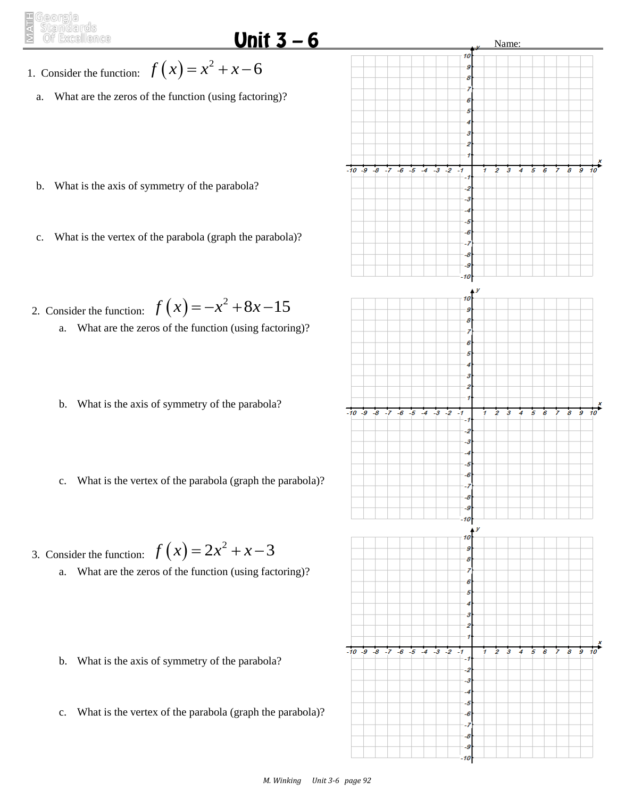## Unit  $3-6$

 $-10 - 9$  $-8$  -6 -5  $-4$ -3  $\overline{2}$ -1

 $-10$   $-9$   $-8$   $-7$   $-6$   $-5$   $-4$   $-3$   $-2$ 

Name:

 $10<sup>10</sup>$ 

 $\overline{g}$ 

10 g 8

-6 -6

-8 -5

10 ٠ 8

-1 -2 -3

> L, -6 -7  $\overline{\mathcal{S}}$ -9 10 10 g 8

 $-1$ 

-6 -6 -7 -8 -9  $\overline{\boldsymbol{s}}$ 4  $\overline{5}$  $\overline{6}$ 

> 4 5

- 1. Consider the function:  $f(x) = x^2 + x 6$ 
	- a. What are the zeros of the function (using factoring)?
	- b. What is the axis of symmetry of the parabola?
	- c. What is the vertex of the parabola (graph the parabola)?
- 2. Consider the function:  $f(x) = -x^2 + 8x 15$ 
	- a. What are the zeros of the function (using factoring)?
	- b. What is the axis of symmetry of the parabola?
	- c. What is the vertex of the parabola (graph the parabola)?

3. Consider the function:  $f(x) = 2x^2 + x - 3$ 

- a. What are the zeros of the function (using factoring)?
- b. What is the axis of symmetry of the parabola?
- c. What is the vertex of the parabola (graph the parabola)?

 $-10 - 9 - 8 - 7$ 

 $-5$  $-4$  $-3 - 2$ 

 $-6$